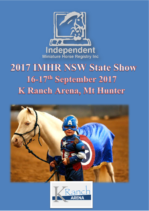

# **2017 IMHR NSW State Show** 16-17th September 2017 K Ranch Arena, Mt Hunter



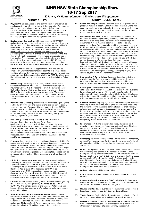

**K Ranch, Mt Hunter (Camden) | Entries close 1st September SHOW RULES (Cont..)**

#### **SHOW RULES**

- 1. **Payment/Entries:** A receipt and confirmation of entries will be emailed/posted out after processing if time permits. There are no refunds under any circumstances. Payment information on entry form. All entries must be COMPLETE. Include a printed copy of your direct deposit or credit card payment with your entries. Online entries will be available closer to the show at the following link: http://tequine-solutions.mybigcommerce.com/
- 2. **Registration/Ownership:** All horses must hold CURRENT registrations with a recognised society and be owned or leased by the exhibitor. Pending registrations with other societies will NOT be accepted. A copy of BOTH sides of registrations must accompany entry form for horses NOT registered IMHR. Incomplete entries will be returned and will incur a \$10 reprocessing fee. COMPLETE entries must be received by the due date or will not be processed. This includes entries returned as incomplete. Please ensure you allow sufficient time and double check all entries. Horses and ponies registered IMHR (but not current) must have registration brought up to date including transfers even if holding current registration with another society.
- 3. **Show Rules:** All show rules applicable to IMHR Inc. and as directed by Show Management shall apply to this event. It is a condition of entry that you accept these rules and any amendment made thereto. Latest version is available for FREE download from the IMHR website or a printed copy can be ordered via the Online Shop.
- 4. **Membership:** Excluding POA classes, all handlers must be financial members of IMHR Inc. POA exhibitors must sign an insurance waiver. It is the responsibility of the owner to ensure that all handlers for their show team are financial members of IMHR or have signed a waiver (waiver applies to POA classes only). Anyone found breaching this condition shall forfeit all awards and entries and may be subject to further disciplinary action.
- 5. **Performance Classes:** Junior events are for horses aged 2 years and under @ 1<sup>st</sup> August and senior events are for horses aged 3 years and over @ 1st August. Horses must be 3 years ACTUAL age and over to be eligible to compete in show jumping, six bar and fault & out. Horses must be 12 months ACTUAL age and over to compete in any performance events including liberty, trail, hunter, lungeline & youth events.
- 6. **Measuring:** At the venue at the following times ONLY: Saturday 7am – 8am and Sunday 7am – 8am Any horses not measured by that time on the day they are showing will forfeit entry monies paid. Horses may be measured to ensure they meet height requirements for class entered and not necessarily recorded as their exact height. Horses holding IMHR Permanent Height Cards do not need to be measured. Horses or ponies only entering POA classes do not need to be measured.
- 7. **Protests:** Any protest must be in writing and accompanied by \$50 protest fee which will be returned if protest is upheld. Protest on rules must be lodged within 10 minutes of class completion. Protest on horse measurements will be accepted during the height for age halter class. Once the horse has entered the ring for the Grand Championship no protests will be accepted. Horses may be re-measured once only and final measurement will be deemed final.
- 8. **Eligibility:** Horses must be entered in their respective classes according to the age at 1<sup>st</sup> August. All horses must fulfil height for age requirements (based on 1<sup>st</sup> August age) and MUST show according to height measured. AMHA exhibits must meet AMHA Height for Age criteria. POA classes as per POA rules. Substitutions will NOT be accepted. Horses entered in progeny classes may be Miniature Horse, Small Horse or Little Horse. All equipment including halters, sulkies, harness must conform to safety standards and comply with all insurance obligations.
- 9. **Colour Classes:** Horses can only enter ONE colour class. Judging is based on PHENOTYPE (the way the horse looks) and not GENOTYPE (the genetic colour of the horse). Pintaloosa's and horses with multiple patterns and/or colours should enter the Any Other Colour class.
- 10. **American Shetland and Miniature Pony Classes:** These classes are provided on a trial basis and if not supported may be dropped from future events. American Shetlands may only enter halter classes denoted as American Shetland even if dual registered. Miniature/Small Ponies may only enter halter classes denoted as Miniature/Small Pony even if dual registered.
- 11. **Prizes and Trophies** State Champion class place-getters to 5th place will receive a ribbon. State Grand and Reserve Grand will receive a trophy or prize and sash. Supreme winners will receive a rug, trophy, sash and garland. Other prizes may be awarded throughout the show if sponsored.
- 12. **Force Majeure:** IMHR Inc shall not be liable for any delay or failure to perform its operations, activities, shows and events to the extent such delay or failure results from a force majeure occurrence. A force majeure occurrence is defined as any occurrence arising from causes beyond the reasonable control of IMHR Inc. and which delays or prevents performance by IMHR Inc. otherwise required by this agreement, including but not limited to any (i) breakage or accident to equipment, machinery or facilities; (ii) any strikes, lock-outs or other labor difficulties; (iii) statutes, ordinances, regulations, orders, or rules issued by governmental authorities; (iv) judicial decrees or orders; (v) acts of God; (vi) animal diseases and/or quarantines; (vii) wars, riots or insurrections; (viii) civil disobediences, public demonstrations or sabotage; (ix) fires, floods, explosions or inclement weather; (x) inability to obtain necessary labor, materials, supplies, utilities or transportation; (xi) depressions, recessions or other economic downturns; (xii) embargoes or energy shortages; or (xiii) other causes beyond the IMHR's reasonable control.
- 13. **Sponsorship / Advertising:** Sponsorship and advertising is available and the form provided should be used in all cases. Payment is due with entries. Ads must be received by entry closing date or inclusion in catalogue cannot be guaranteed.
- 14. **Catalogue:** All exhibitors must pay the compulsory catalogue/administration fee. Additional copies may be available for purchase at the show. All information contained in the catalogue will remain as confidential until show date. Catalogues will not be provided to exhibitors until all horses entered by that exhibitor have been measured or officially scratched.
- 15. **Sportsmanship:** Any displays of bad sportsmanship or disrespect including but not limited to, leaving the arena before directed by the steward, leaving the arena before placement of all ribbons, refusing to accept a placing, disrespectful remarks made to the judge, steward or other exhibitors or any other conduct deemed as unsportsmanlike by Show Management will result in that exhibitor being disqualified for the remainder of the show including all horses entered by that exhibitor. It may also lead to further disciplinary action by the National Committee.
- 16. **Insurance:** IMHR Inc. is insured and provides cover for the Association and its workers (voluntary and paid) only. Members and their horses are NOT covered by this insurance for accident/injury/public liability. IMHR encourages exhibitors to seek further advice if they wish to pursue insurance for themselves and their horses.
- 17. **Photography:** IMHR have appointed Samuel Noakes Photography as the official photographer for this event. No other professional photographers will be permitted into the arena or immediate surrounds.
- 18. **Grand Champions:** Grand Champion halter classes are contested between first place getters in the respective section. Grand Champion Show Jumper is awarded based on the results of Show Jumper, Six Bar and Fault & Out. Grand Champion Youth is based on the results of Youth Handler, Youth Trail and Youth Hunter. Grand Champion Pony Performance is based on Trail and Hunter only. All other Grand Champion Performance are based on results of Trail, Hunter and Lunge-line. To be eligible for Grand Champion you must enter all eligible classes.
- 19. **Judges**: All events will have one judge.
- 20. **Fancy Dress**: Must comply with Show Rules and MUST be preentered.
- 21. **Property Identification Code (PIC)**: All NSW exhibitors must supply their PIC on the entry form. Details on how to obtain a PIC are on the DPI website – www.dpi.nsw.gov.au.
- 22. **Novice Events**: Novice events are for those who have not won a first place in a similar event at State or National level.
- 23. **Youth Events**: Exhibits in Youth events may be Miniature, Small or Little Horse or Miniature/Small Pony or American Shetland.
- 24. **Mares:** Must enter EITHER the mare class or broodmare class not both. Broodmares must be visibly in foal or have foal at foot otherwise vet certificate of pregnancy may be required.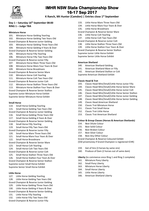

**K Ranch, Mt Hunter (Camden) | Entries close 1st September**

#### **Day 1 – Saturday 16th September 08:00 RING 1 – Judge TBA**

#### **Miniature Horse**

101. Miniature Horse Gelding Yearling 102. Miniature Horse Gelding Two Years Old Grand Champion & Reserve Junior Gelding 103. Miniature Horse Gelding Three Years Old 104. Miniature Horse Gelding 4 Years & Over Grand Champion & Reserve Senior Gelding 105. Miniature Horse Filly Yearling 106. Miniature Horse Filly Two Years Old Grand Champion & Reserve Junior Filly 107. Miniature Horse Mare Three Years Old 108. Miniature Horse Mare Four Years & Over 109. Miniature Horse Broodmare Grand Champion & Reserve Senior Mare 110. Miniature Horse Colt Yearling 111. Miniature Horse Colt Two Years Old Grand Champion & Reserve Junior Colt 112. Miniature Horse Stallion Three Years Old 113. Miniature Horse Stallion Four Years & Over Grand Champion & Reserve Senior Stallion Supreme Junior Miniature Horse Exhibit Supreme Senior Miniature Horse Exhibit

#### **Small Horse**

- 114. Small Horse Gelding Yearling 115. Small Horse Gelding Two Years Old Grand Champion & Reserve Junior Gelding 116. Small Horse Gelding Three Years Old 117. Small Horse Gelding 4 Years & Over Grand Champion & Reserve Senior Gelding 118. Small Horse Filly Yearling 119. Small Horse Filly Two Years Old Grand Champion & Reserve Junior Filly 120. Small Horse Mare Three Years Old 121. Small Horse Mare Four Years & Over 122. Small Horse Broodmare Grand Champion & Reserve Senior Mare 123. Small Horse Colt Yearling 124. Small Horse Colt Two Years Old Grand Champion & Reserve Junior Colt 125. Small Horse Stallion Three Years Old 126. Small Horse Stallion Four Years & Over Grand Champion & Reserve Senior Stallion Supreme Junior Small Horse Exhibit
- Supreme Senior Small Horse Exhibit
- **Little Horse**
- 127. Little Horse Gelding Yearling 128. Little Horse Gelding Two Years Old Grand Champion & Reserve Junior Gelding 129. Little Horse Gelding Three Years Old 130. Little Horse Gelding 4 Years & Over Grand Champion & Reserve Senior Gelding
- 
- 131. Little Horse Filly Yearling
- 132. Little Horse Filly Two Years Old
- 
- Grand Champion & Reserve Junior Filly
- 133. Little Horse Mare Three Years Old
- 134. Little Horse Mare Four Years & Over
- 135. Little Horse Broodmare
- Grand Champion & Reserve Senior Mare
- 136. Little Horse Colt Yearling
- 137. Little Horse Colt Two Years Old
- Grand Champion & Reserve Junior Colt
- 138. Little Horse Stallion Three Years Old
- 139. Little Horse Stallion Four Years & Over
- Grand Champion & Reserve Senior Stallion
- Supreme Junior Little Horse Exhibit

Supreme Senior Little Horse Exhibit

#### **American Shetland**

- 140. American Shetland Gelding
- 141. American Shetland Mare or Filly
- 142. American Shetland Stallion or Colt
- Supreme American Shetland Exhibit

#### **Classic Head & Trot**

- 143. Classic Head Mini/Small/Little Horse Junior Filly
- 144. Classic Head Mini/Small/Little Horse Senior Mare
- 145. Classic Head Mini/Small/Little Horse Junior Colt
- 146. Classic Head Mini/Small/Little Horse Senior Stallion
- 147. Classic Head Mini/Small/Little Horse Junior Gelding
- 148. Classic Head Mini/Small/Little Horse Senior Gelding
- 149. Classic Head American Shetland
- 150. Classic Trot Miniature Horse
- 151. Classic Trot Small Horse
- 152. Classic Trot Little Horse
- 153. Classic Trot American Shetland

#### **Colour & Group Classes (Horses & American Shetlands)**

- 154. Best Dilute Colour
- 155. Best Solid Colour
- 156. Best Broken Colour
- 157. Best Silver Colour
- 158. Best Any Other Colour
- Grand Champion & Reserve Coloured Exhibit

(\$50 prizemoney if Grand Champion is registered ICHR)

- 159. Get of Sire (3 horses by same sire)
- 160. Produce of Dam (2 horses out of same dam)

**Liberty** (to commence once Ring 1 and Ring 2 complete)

- 161. Miniature Pony Liberty
- 162. Small Pony Liberty
- 163. Miniature Horse Liberty
- 164. Small Horse Liberty
- 165. Little Horse Liberty
- 166. American Shetland Liberty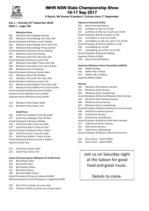

**K Ranch, Mt Hunter (Camden) | Entries close 1st September**

#### **Day 1 – Saturday 16th September 08:00 RING 2 – Judge TBA**

#### **Miniature Pony**

- 201. Miniature Pony Gelding Yearling 202. Miniature Pony Gelding Two Years Old Grand Champion & Reserve Junior Gelding 203. Miniature Pony Gelding Three Years Old 204. Miniature Pony Gelding 4 Years & Over Grand Champion & Reserve Senior Gelding 205. Miniature Pony Filly Yearling 206. Miniature Pony Filly Two Years Old Grand Champion & Reserve Junior Filly 207. Miniature Pony Mare Three Years Old 208. Miniature Pony Mare Four Years & Over 209. Miniature Pony Broodmare Grand Champion & Reserve Senior Mare 210. Miniature Pony Colt Yearling 211. Miniature Pony Colt Two Years Old Grand Champion & Reserve Junior Colt 212. Miniature Pony Stallion Three Years Old 213. Miniature Pony Stallion Four Years & Over Grand Champion & Reserve Senior Stallion Supreme Junior Miniature Pony Exhibit Supreme Senior Miniature Pony Exhibit
- 214. Miniature Pony Classic Head
- 215. Miniature Pony Classic Trot

#### **Small Pony**

- 216. Small Pony Gelding 2 Years & Under
- 217. Small Pony Gelding 3 Years & Over
- Grand Champion & Reserve Gelding
- 218. Small Pony Filly 2 Years & Under
- 219. Small Pony Mare 3 Years & Over
- Grand Champion & Reserve Filly or Mare
- 220. Small Pony Colt 2 Years & Under
- 221. Small Pony Stallion 3 Years & Over Grand Champion & Reserve Colt or Stallion Supreme Small Pony
- 222. Small Pony Classic Head
- 223. Small Pony Classic Trot

#### **Colour & Group Classes (Miniature & Small Pony)**

- 224. Best Dilute Colour
- 225. Best Solid Colour
- 226. Best Broken Colour
- 227. Best Silver Colour
- 228. Best Any Other Colour
- Grand Champion & Reserve Coloured Exhibit
- (\$50 prizemoney if Grand Champion is registered ICHR)
- 229. Get of Sire (3 ponies by same sire)
- 230. Produce of Dam (2 ponies out of same dam)

#### **Palouse of Australia (POA)**

- 231. Best Presented Palouse
- 232. Led Mare or Filly n/e 10.2hh
- 233. Led Mare or Filly over 10.2h n/e 14.2hh
- Grand Champion & Reserve Mare or Filly
- 234. Led Stallion or Colt n/e 10.2hh
- 235. Led Stallion or Colt over 10.2h n/e 14.2hh
- Grand Champion & Reserve Stallion or Colt
- 236. Led Gelding n/e 10.2hh
- 237. Led Gelding over 10.2h n/e 14.2hh
- Grand Champion & Reserve Gelding

Supreme Palouse Exhibit

238. Most Coloured Palouse

#### **American Miniature Horse Association (AMHA)**

- 239. AMHA Gelding
- 240. AMHA Filly or Mare
- 241. AMHA Colt or Stallion
- Supreme AMHA Exhibit

#### **Harness**

- 242. Miniature Pony Novice Harness
- 243. Miniature Pony Harness
- 244. Miniature Pony Long-Reining
- Grand Champion & Reserve Miniature Pony Harness
- 245. Miniature Horse Novice Harness
- 246. Miniature Horse Harness
- 247. Miniature Horse Long-Reining
- Grand Champion & Reserve Miniature Horse Harness
- 248. Small Horse Novice Harness
- 249. Small Horse Harness
- 250. Small Horse Long-Reining
- Grand Champion & Reserve Small Horse Harness
- 251. Little Horse Novice Harness
- 252. Little Horse Harness
- 253. Little Horse Long-Reining

Grand Champion & Reserve Little Horse Harness

- 254. Fancy Dress Youth (FREE)
- 255. Fancy Dress Adult (FREE)

Join us on Saturday night at the Saloon for good food and great music.

### Details to come.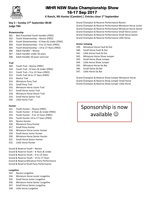

**K Ranch, Mt Hunter (Camden) | Entries close 1st September**

#### **Day 2 – Sunday 17th September 08:00 Judge TBA**

#### **Showmanship**

- 301. Best Presented Youth Handler (FREE)
- 302. Youth Showmanship Novice (FREE)
- 303. Youth Showmanship 8 Years & Under (FREE)
- 304. Youth Showmanship 9 to 13 Years (FREE)
- 305. Youth Showmanship 14 to 17 Years (FREE)
- 306. Adult Handler Novice
- 307. Adult Handler under 50 years
- 308. Adult Handler 50 years and over

#### **Trail**

- 309. Youth Trail Novice (FREE)
- 310. Youth Trail 8 Years & Under (FREE)
- 311. Youth Trail 9 to 13 Years (FREE)
- 312. Youth Trail 14 to 17 Years (FREE)
- 313. Novice Trail
- 314. Miniature Pony Trail
- 315. Small Pony Trail
- 316. Miniature Horse Junior Trail
- 317. Small Horse Junior Trail
- 318. Miniature Horse Senior Trail
- 319. Small Horse Senior Trail
- 320. Little Horse Trail

#### **Hunter**

- 321. Youth Hunter Novice (FREE)
- 322. Youth Hunter 8 Years & Under (FREE)
- 323. Youth Hunter 9 to 13 Years (FREE)
- 324. Youth Hunter 14 to 17 Years (FREE)
- 325. Novice Hunter
- 326. Miniature Pony Hunter
- 327. Small Pony Hunter
- 328. Miniature Horse Junior Hunter
- 329. Small Horse Junior Hunter
- 330. Miniature Horse Senior Hunter
- 331. Small Horse Senior Hunter
- 332. Little Horse Hunter

Grand & Reserve Youth – Novice Grand & Reserve Youth – 8 Years & Under Grand & Reserve Youth – 9 to 13 Years Grand & Reserve Youth – 14 to 17 Years Grand & Reserve Miniature Pony Performance Grand & Reserve Small Pony Performance

#### **Lungeline**

- 333. Novice Lungeline
- 334. Miniature Horse Junior Lungeline
- 335. Small Horse Junior Lungeline
- 336. Miniature Horse Senior Lungeline
- 337. Small Horse Senior Lungeline
- 338. Little Horse Lungeline

Grand Champion & Reserve Performance Novice Grand Champion & Reserve Performance Miniature Horse Junior Grand Champion & Reserve Performance Miniature Horse Senior Grand Champion & Reserve Performance Small Horse Junior Grand Champion & Reserve Performance Small Horse Senior Grand Champion & Reserve Performance Little Horse

#### **Senior Jumping**

- 339. Miniature Horse Fault & Out
- 340. Small Horse Fault & Out
- 341. Little Horse Fault & Out
- 342. Miniature Horse Show Jumper
- 343. Small Horse Show Jumper
- 344. Little Horse Show Jumper
- 345. Miniature Horse Six Bar
- 346. Small Horse Six Bar
- 347. Little Horse Six Bar

Grand Champion & Reserve Show Jumper Miniature Horse Grand Champion & Reserve Show Jumper Small Horse Grand Champion & Reserve Show Jumper Little Horse

# Sponsorship is now available  $\odot$